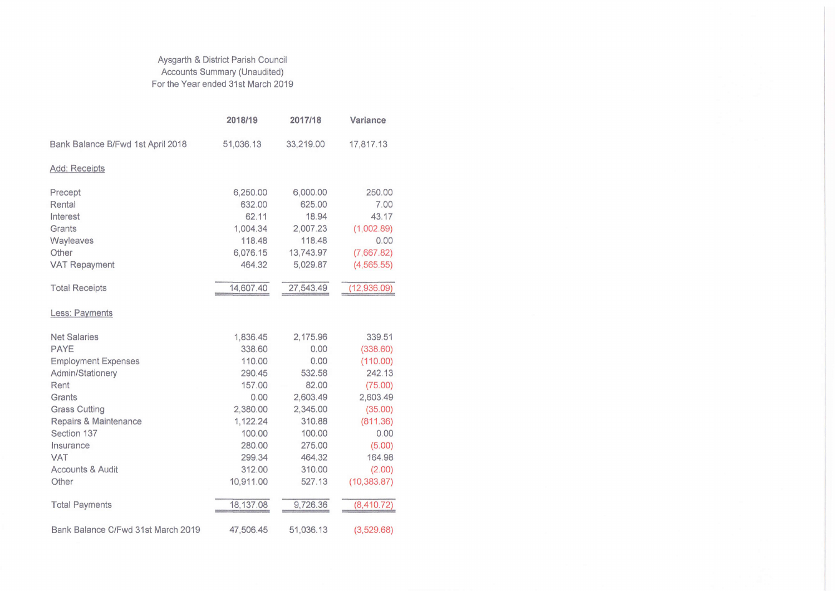## Aysgarth & District Parish Council Accounts Summary (Unaudited) For the Year ended 31st March 2019

|                                    | 2018/19    | 2017/18   | Variance     |  |  |  |  |
|------------------------------------|------------|-----------|--------------|--|--|--|--|
| Bank Balance B/Fwd 1st April 2018  | 51,036.13  | 33,219.00 | 17,817.13    |  |  |  |  |
| Add: Receipts                      |            |           |              |  |  |  |  |
| Precept                            | 6,250.00   | 6,000.00  | 250.00       |  |  |  |  |
| Rental                             | 632.00     | 625.00    | 7.00         |  |  |  |  |
| Interest                           | 62.11      | 18.94     | 43.17        |  |  |  |  |
| Grants                             | 1,004.34   | 2,007.23  | (1,002.89)   |  |  |  |  |
| Wayleaves                          | 118.48     | 118.48    | 0.00         |  |  |  |  |
| Other                              | 6,076.15   | 13,743.97 | (7,667.82)   |  |  |  |  |
| <b>VAT Repayment</b>               | 464.32     | 5,029.87  | (4, 565.55)  |  |  |  |  |
| <b>Total Receipts</b>              | 14,607.40  | 27,543.49 | (12,936.09)  |  |  |  |  |
| Less: Payments                     |            |           |              |  |  |  |  |
| <b>Net Salaries</b>                | 1,836.45   | 2,175.96  | 339.51       |  |  |  |  |
| PAYE                               | 338.60     | 0.00      | (338.60)     |  |  |  |  |
| <b>Employment Expenses</b>         | 110.00     | 0.00      | (110.00)     |  |  |  |  |
| Admin/Stationery                   | 290.45     | 532.58    | 242.13       |  |  |  |  |
| Rent                               | 157.00     | 82.00     | (75.00)      |  |  |  |  |
| Grants                             | 0.00       | 2,603.49  | 2,603.49     |  |  |  |  |
| <b>Grass Cutting</b>               | 2,380.00   | 2,345.00  | (35.00)      |  |  |  |  |
| Repairs & Maintenance              | 1,122.24   | 310.88    | (811.36)     |  |  |  |  |
| Section 137                        | 100.00     | 100.00    | 0.00         |  |  |  |  |
| Insurance                          | 280.00     | 275.00    | (5.00)       |  |  |  |  |
| <b>VAT</b>                         | 299.34     | 464.32    | 164.98       |  |  |  |  |
| <b>Accounts &amp; Audit</b>        | 312.00     | 310.00    | (2.00)       |  |  |  |  |
| Other                              | 10,911.00  | 527.13    | (10, 383.87) |  |  |  |  |
| <b>Total Payments</b>              | 18, 137.08 | 9,726.36  | (8,410.72)   |  |  |  |  |
| Bank Balance C/Fwd 31st March 2019 | 47,506.45  | 51,036.13 | (3,529.68)   |  |  |  |  |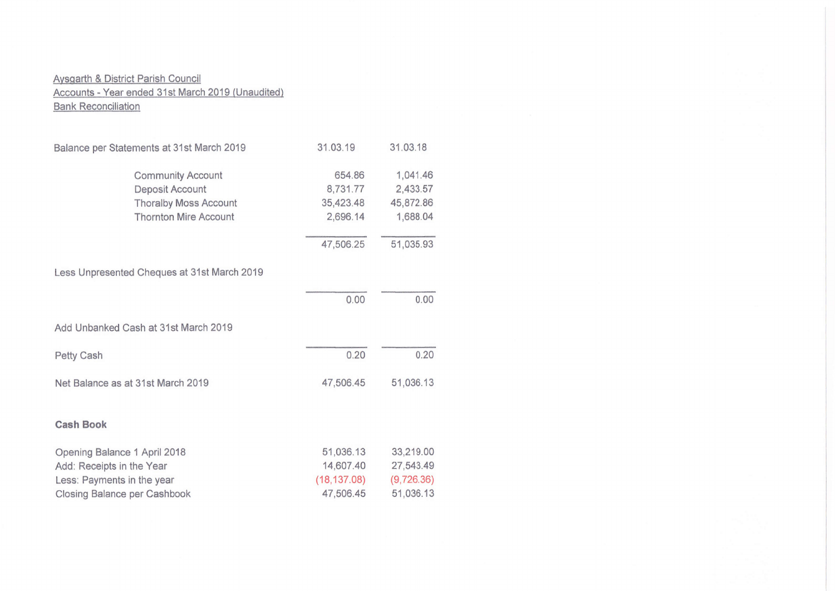## Aysgarth & District Parish Council Accounts - Year ended 31st March 2019 (Unaudited) **Bank Reconciliation**

| Balance per Statements at 31st March 2019                                                                               | 31.03.19                                            | 31.03.18                                          |
|-------------------------------------------------------------------------------------------------------------------------|-----------------------------------------------------|---------------------------------------------------|
| <b>Community Account</b><br>Deposit Account<br><b>Thoralby Moss Account</b><br><b>Thornton Mire Account</b>             | 654.86<br>8,731.77<br>35,423.48<br>2,696.14         | 1,041.46<br>2,433.57<br>45,872.86<br>1,688.04     |
|                                                                                                                         | 47,506.25                                           | 51,035.93                                         |
| Less Unpresented Cheques at 31st March 2019                                                                             |                                                     |                                                   |
|                                                                                                                         | 0.00                                                | 0.00                                              |
| Add Unbanked Cash at 31st March 2019                                                                                    |                                                     |                                                   |
| Petty Cash                                                                                                              | 0.20                                                | 0.20                                              |
| Net Balance as at 31st March 2019                                                                                       | 47,506.45                                           | 51,036.13                                         |
| <b>Cash Book</b>                                                                                                        |                                                     |                                                   |
| Opening Balance 1 April 2018<br>Add: Receipts in the Year<br>Less: Payments in the year<br>Closing Balance per Cashbook | 51,036.13<br>14,607.40<br>(18, 137.08)<br>47,506.45 | 33,219.00<br>27,543.49<br>(9,726.36)<br>51,036.13 |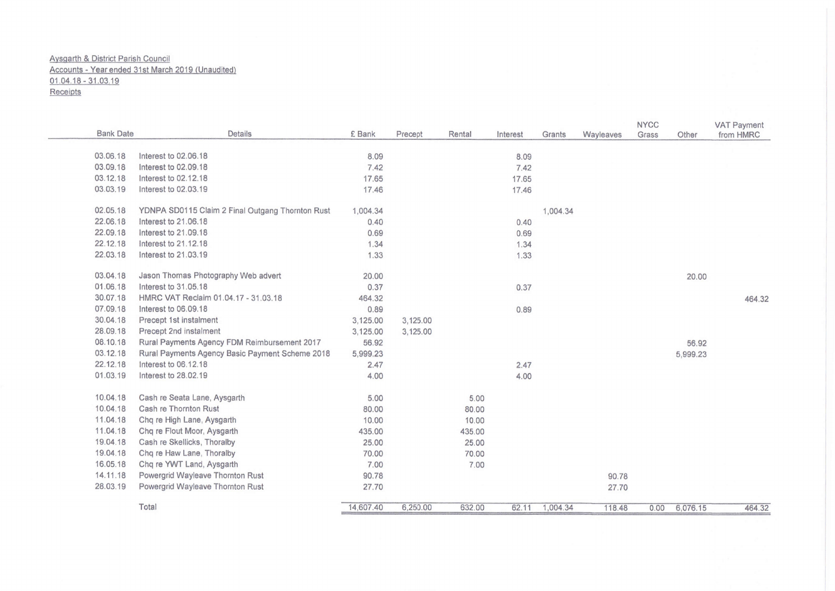## Aysgarth & District Parish Council Accounts - Yearended 31st March 2019 (Unaudited) 01 .04.18 - 31 .03 19

**Receipts** 

| <b>Bank Date</b> | Details                                          | £ Bank    | Precept  | Rental | Interest | Grants   | Wayleaves | <b>NYCC</b><br>Grass | Other    | <b>VAT Payment</b><br>from HMRC |
|------------------|--------------------------------------------------|-----------|----------|--------|----------|----------|-----------|----------------------|----------|---------------------------------|
| 03.06.18         | Interest to 02.06.18                             | 8.09      |          |        | 8.09     |          |           |                      |          |                                 |
| 03.09.18         | Interest to 02.09.18                             | 7.42      |          |        | 7.42     |          |           |                      |          |                                 |
| 03.12.18         | Interest to 02.12.18                             | 17.65     |          |        | 17.65    |          |           |                      |          |                                 |
| 03.03.19         | Interest to 02.03.19                             | 17.46     |          |        | 17.46    |          |           |                      |          |                                 |
| 02.05.18         | YDNPA SD0115 Claim 2 Final Outgang Thornton Rust | 1,004.34  |          |        |          | 1,004.34 |           |                      |          |                                 |
| 22.06.18         | Interest to 21.06.18                             | 0.40      |          |        | 0.40     |          |           |                      |          |                                 |
| 22.09.18         | Interest to 21.09.18                             | 0.69      |          |        | 0.69     |          |           |                      |          |                                 |
| 22.12.18         | Interest to 21.12.18                             | 1.34      |          |        | 1.34     |          |           |                      |          |                                 |
| 22.03.18         | Interest to 21.03.19                             | 1.33      |          |        | 1.33     |          |           |                      |          |                                 |
| 03.04.18         | Jason Thomas Photography Web advert              | 20.00     |          |        |          |          |           |                      | 20.00    |                                 |
| 01.06.18         | Interest to 31.05.18                             | 0.37      |          |        | 0.37     |          |           |                      |          |                                 |
| 30.07.18         | HMRC VAT Reclaim 01.04.17 - 31.03.18             | 464.32    |          |        |          |          |           |                      |          | 464.32                          |
| 07.09.18         | Interest to 06.09.18                             | 0.89      |          |        | 0.89     |          |           |                      |          |                                 |
| 30.04.18         | Precept 1st instalment                           | 3,125.00  | 3,125.00 |        |          |          |           |                      |          |                                 |
| 28.09.18         | Precept 2nd instalment                           | 3,125.00  | 3,125.00 |        |          |          |           |                      |          |                                 |
| 08.10.18         | Rural Payments Agency FDM Reimbursement 2017     | 56.92     |          |        |          |          |           |                      | 56.92    |                                 |
| 03.12.18         | Rural Payments Agency Basic Payment Scheme 2018  | 5,999.23  |          |        |          |          |           |                      | 5,999.23 |                                 |
| 22.12.18         | Interest to 06.12.18                             | 2.47      |          |        | 2.47     |          |           |                      |          |                                 |
| 01.03.19         | Interest to 28.02.19                             | 4.00      |          |        | 4.00     |          |           |                      |          |                                 |
| 10.04.18         | Cash re Seata Lane, Aysgarth                     | 5.00      |          | 5.00   |          |          |           |                      |          |                                 |
| 10.04.18         | Cash re Thornton Rust                            | 80.00     |          | 80.00  |          |          |           |                      |          |                                 |
| 11.04.18         | Chq re High Lane, Aysgarth                       | 10.00     |          | 10.00  |          |          |           |                      |          |                                 |
| 11.04.18         | Chq re Flout Moor, Aysgarth                      | 435.00    |          | 435.00 |          |          |           |                      |          |                                 |
| 19.04.18         | Cash re Skellicks, Thoralby                      | 25.00     |          | 25.00  |          |          |           |                      |          |                                 |
| 19.04.18         | Chq re Haw Lane, Thoralby                        | 70.00     |          | 70.00  |          |          |           |                      |          |                                 |
| 16.05.18         | Chq re YWT Land, Aysgarth                        | 7.00      |          | 7.00   |          |          |           |                      |          |                                 |
| 14.11.18         | Powergrid Wayleave Thornton Rust                 | 90.78     |          |        |          |          | 90.78     |                      |          |                                 |
| 28.03.19         | Powergrid Wayleave Thornton Rust                 | 27.70     |          |        |          |          | 27.70     |                      |          |                                 |
|                  | Total                                            | 14,607.40 | 6,250.00 | 632.00 | 62.11    | 1,004.34 | 118.48    | 0.00                 | 6,076.15 | 464.32                          |